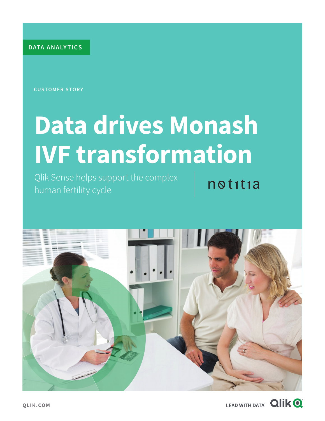**DATA ANALY TICS**

**CUSTOMER STORY**

# **Data drives Monash IVF transformation**

Qlik Sense helps support the complex human fertility cycle

 $no$ titia



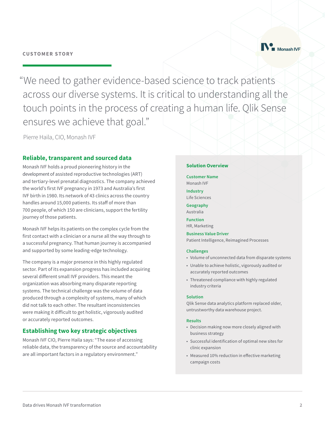

"We need to gather evidence-based science to track patients across our diverse systems. It is critical to understanding all the touch points in the process of creating a human life. Qlik Sense ensures we achieve that goal."

Pierre Haila, CIO, Monash IVF

# **Reliable, transparent and sourced data**

Monash IVF holds a proud pioneering history in the development of assisted reproductive technologies (ART) and tertiary-level prenatal diagnostics. The company achieved the world's first IVF pregnancy in 1973 and Australia's first IVF birth in 1980. Its network of 43 clinics across the country handles around 15,000 patients. Its staff of more than 700 people, of which 150 are clinicians, support the fertility journey of those patients.

Monash IVF helps its patients on the complex cycle from the first contact with a clinician or a nurse all the way through to a successful pregnancy. That human journey is accompanied and supported by some leading-edge technology.

The company is a major presence in this highly regulated sector. Part of its expansion progress has included acquiring several different small IVF providers. This meant the organization was absorbing many disparate reporting systems. The technical challenge was the volume of data produced through a complexity of systems, many of which did not talk to each other. The resultant inconsistencies were making it difficult to get holistic, vigorously audited or accurately reported outcomes.

# **Establishing two key strategic objectives**

Monash IVF CIO, Pierre Haila says: "The ease of accessing reliable data, the transparency of the source and accountability are all important factors in a regulatory environment."

#### **Solution Overview**

**Customer Name** Monash IVF

**Industry** Life Sciences

**Geography** Australia

**Function** HR, Marketing

**Business Value Driver** Patient Intelligence, Reimagined Processes

#### **Challenges**

- Volume of unconnected data from disparate systems
- Unable to achieve holistic, vigorously audited or accurately reported outcomes
- Threatened compliance with highly regulated industry criteria

#### **Solution**

Qlik Sense data analytics platform replaced older, untrustworthy data warehouse project.

#### **Results**

- Decision making now more closely aligned with business strategy
- Successful identification of optimal new sites for clinic expansion
- Measured 10% reduction in effective marketing campaign costs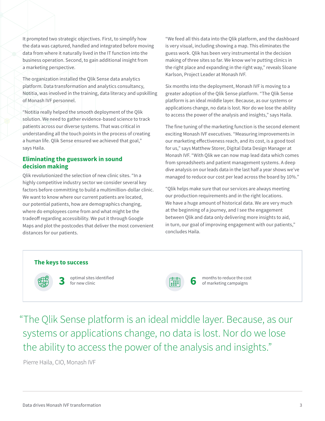It prompted two strategic objectives. First, to simplify how the data was captured, handled and integrated before moving data from where it naturally lived in the IT function into the business operation. Second, to gain additional insight from a marketing perspective.

The organization installed the Qlik Sense data analytics platform. Data transformation and analytics consultancy, Notitia, was involved in the training, data literacy and upskilling of Monash IVF personnel.

"Notitia really helped the smooth deployment of the Qlik solution. We need to gather evidence-based science to track patients across our diverse systems. That was critical in understanding all the touch points in the process of creating a human life. Qlik Sense ensured we achieved that goal," says Haila.

## **Eliminating the guesswork in sound decision making**

Qlik revolutionized the selection of new clinic sites. "In a highly competitive industry sector we consider several key factors before committing to build a multimillion-dollar clinic. We want to know where our current patients are located, our potential patients, how are demographics changing, where do employees come from and what might be the tradeoff regarding accessibility. We put it through Google Maps and plot the postcodes that deliver the most convenient distances for our patients.

"We feed all this data into the Qlik platform, and the dashboard is very visual, including showing a map. This eliminates the guess work. Qlik has been very instrumental in the decision making of three sites so far. We know we're putting clinics in the right place and expanding in the right way," reveals Sloane Karlson, Project Leader at Monash IVF.

Six months into the deployment, Monash IVF is moving to a greater adoption of the Qlik Sense platform. "The Qlik Sense platform is an ideal middle layer. Because, as our systems or applications change, no data is lost. Nor do we lose the ability to access the power of the analysis and insights," says Haila.

The fine tuning of the marketing function is the second element exciting Monash IVF executives. "Measuring improvements in our marketing effectiveness reach, and its cost, is a good tool for us," says Matthew Storer, Digital Data Design Manager at Monash IVF. "With Qlik we can now map lead data which comes from spreadsheets and patient management systems. A deep dive analysis on our leads data in the last half a year shows we've managed to reduce our cost per lead across the board by 10%."

"Qlik helps make sure that our services are always meeting our production requirements and in the right locations. We have a huge amount of historical data. We are very much at the beginning of a journey, and I see the engagement between Qlik and data only delivering more insights to aid, in turn, our goal of improving engagement with our patients," concludes Haila.



"The Qlik Sense platform is an ideal middle layer. Because, as our systems or applications change, no data is lost. Nor do we lose the ability to access the power of the analysis and insights."

Pierre Haila, CIO, Monash IVF